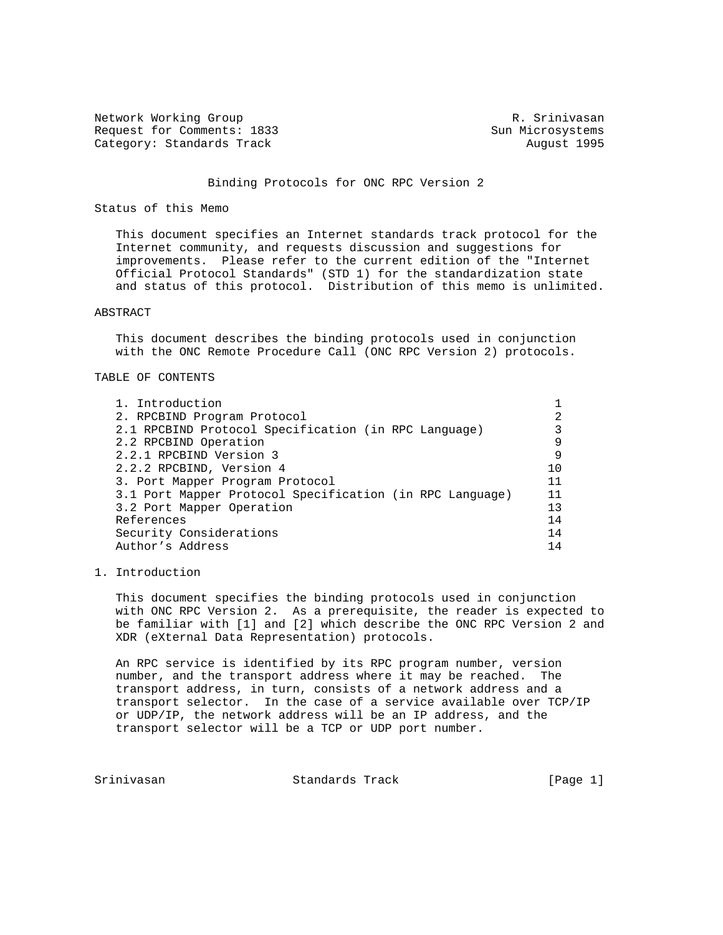Network Working Group and Month Communications of the R. Srinivasan Request for Comments: 1833 Sun Microsystems Category: Standards Track August 1995

# Binding Protocols for ONC RPC Version 2

## Status of this Memo

 This document specifies an Internet standards track protocol for the Internet community, and requests discussion and suggestions for improvements. Please refer to the current edition of the "Internet Official Protocol Standards" (STD 1) for the standardization state and status of this protocol. Distribution of this memo is unlimited.

# ABSTRACT

 This document describes the binding protocols used in conjunction with the ONC Remote Procedure Call (ONC RPC Version 2) protocols.

# TABLE OF CONTENTS

| 1. Introduction                                          |     |
|----------------------------------------------------------|-----|
| 2. RPCBIND Program Protocol                              | 2   |
| 2.1 RPCBIND Protocol Specification (in RPC Language)     |     |
| 2.2 RPCBIND Operation                                    | 9   |
| 2.2.1 RPCBIND Version 3                                  | 9   |
| 2.2.2 RPCBIND, Version 4                                 | 1 O |
| 3. Port Mapper Program Protocol                          | 11  |
| 3.1 Port Mapper Protocol Specification (in RPC Language) | 11  |
| 3.2 Port Mapper Operation                                | 13  |
| References                                               | 14  |
| Security Considerations                                  | 14  |
| Author's Address                                         | 14  |

# 1. Introduction

 This document specifies the binding protocols used in conjunction with ONC RPC Version 2. As a prerequisite, the reader is expected to be familiar with [1] and [2] which describe the ONC RPC Version 2 and XDR (eXternal Data Representation) protocols.

 An RPC service is identified by its RPC program number, version number, and the transport address where it may be reached. The transport address, in turn, consists of a network address and a transport selector. In the case of a service available over TCP/IP or UDP/IP, the network address will be an IP address, and the transport selector will be a TCP or UDP port number.

Srinivasan Standards Track [Page 1]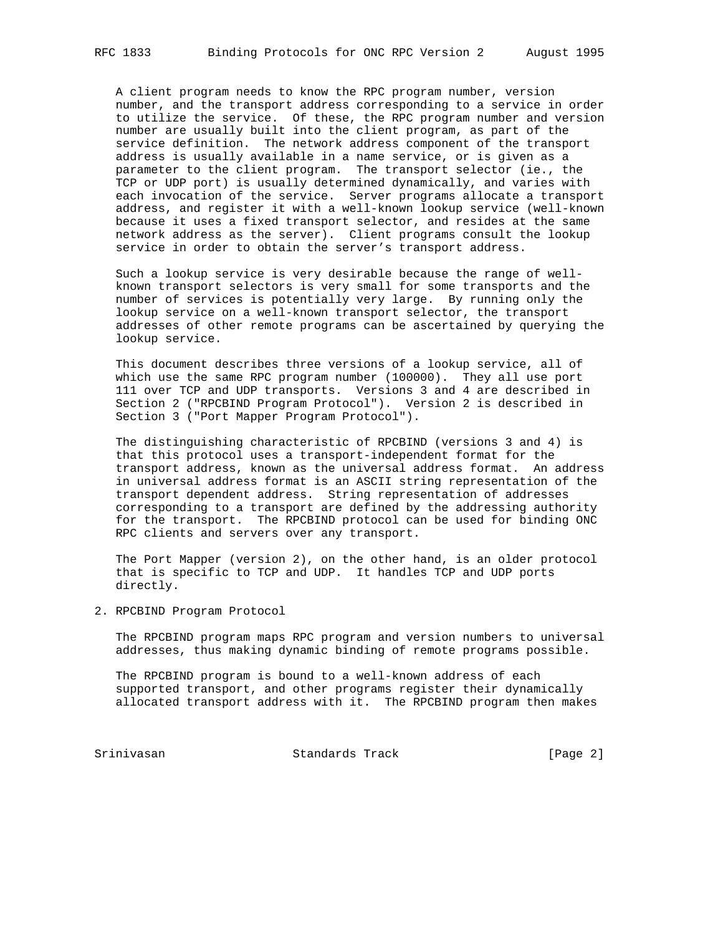A client program needs to know the RPC program number, version number, and the transport address corresponding to a service in order to utilize the service. Of these, the RPC program number and version number are usually built into the client program, as part of the service definition. The network address component of the transport address is usually available in a name service, or is given as a parameter to the client program. The transport selector (ie., the TCP or UDP port) is usually determined dynamically, and varies with each invocation of the service. Server programs allocate a transport address, and register it with a well-known lookup service (well-known because it uses a fixed transport selector, and resides at the same network address as the server). Client programs consult the lookup service in order to obtain the server's transport address.

 Such a lookup service is very desirable because the range of well known transport selectors is very small for some transports and the number of services is potentially very large. By running only the lookup service on a well-known transport selector, the transport addresses of other remote programs can be ascertained by querying the lookup service.

 This document describes three versions of a lookup service, all of which use the same RPC program number (100000). They all use port 111 over TCP and UDP transports. Versions 3 and 4 are described in Section 2 ("RPCBIND Program Protocol"). Version 2 is described in Section 3 ("Port Mapper Program Protocol").

 The distinguishing characteristic of RPCBIND (versions 3 and 4) is that this protocol uses a transport-independent format for the transport address, known as the universal address format. An address in universal address format is an ASCII string representation of the transport dependent address. String representation of addresses corresponding to a transport are defined by the addressing authority for the transport. The RPCBIND protocol can be used for binding ONC RPC clients and servers over any transport.

 The Port Mapper (version 2), on the other hand, is an older protocol that is specific to TCP and UDP. It handles TCP and UDP ports directly.

2. RPCBIND Program Protocol

 The RPCBIND program maps RPC program and version numbers to universal addresses, thus making dynamic binding of remote programs possible.

 The RPCBIND program is bound to a well-known address of each supported transport, and other programs register their dynamically allocated transport address with it. The RPCBIND program then makes

Srinivasan Standards Track [Page 2]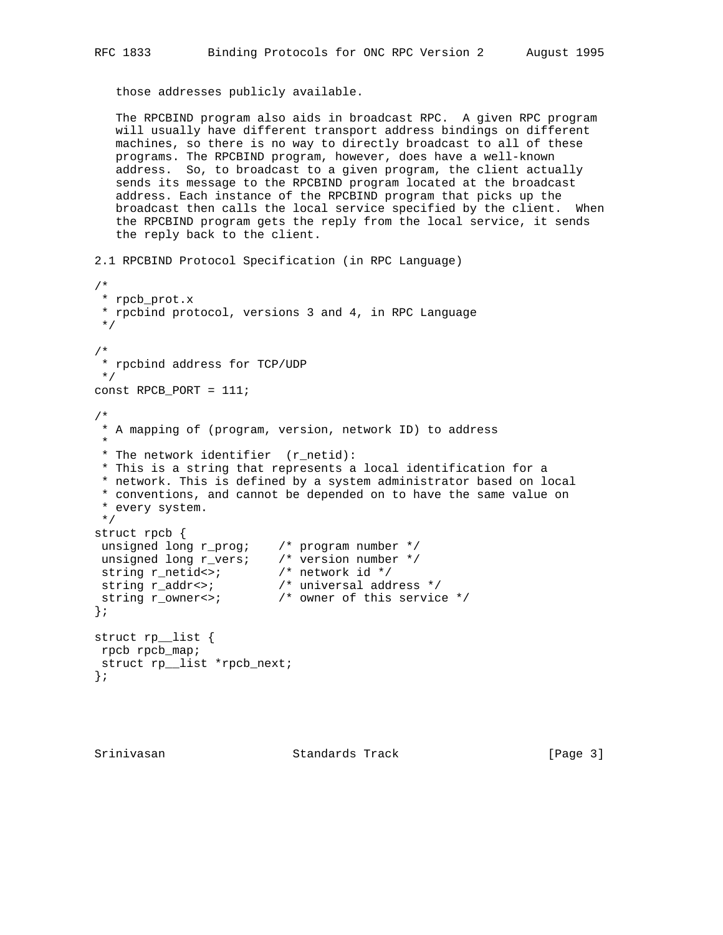those addresses publicly available.

 The RPCBIND program also aids in broadcast RPC. A given RPC program will usually have different transport address bindings on different machines, so there is no way to directly broadcast to all of these programs. The RPCBIND program, however, does have a well-known address. So, to broadcast to a given program, the client actually sends its message to the RPCBIND program located at the broadcast address. Each instance of the RPCBIND program that picks up the broadcast then calls the local service specified by the client. When the RPCBIND program gets the reply from the local service, it sends the reply back to the client.

2.1 RPCBIND Protocol Specification (in RPC Language) /\* \* rpcb\_prot.x \* rpcbind protocol, versions 3 and 4, in RPC Language \*/ /\* \* rpcbind address for TCP/UDP \*/ const RPCB\_PORT = 111; /\* \* A mapping of (program, version, network ID) to address \* \* The network identifier (r\_netid): \* This is a string that represents a local identification for a \* network. This is defined by a system administrator based on local \* conventions, and cannot be depended on to have the same value on \* every system. \*/ struct rpcb { unsigned long r\_prog; /\* program number \*/ unsigned long r\_vers; /\* version number \*/ string r\_netid<>; /\* network id \*/ string r\_addr<>; /\* universal address \*/ string r\_owner<>;  $\hspace{1cm}$  /\* owner of this service \*/ }; struct rp\_\_list { rpcb rpcb\_map; struct rp\_\_list \*rpcb\_next; };

Srinivasan Standards Track [Page 3]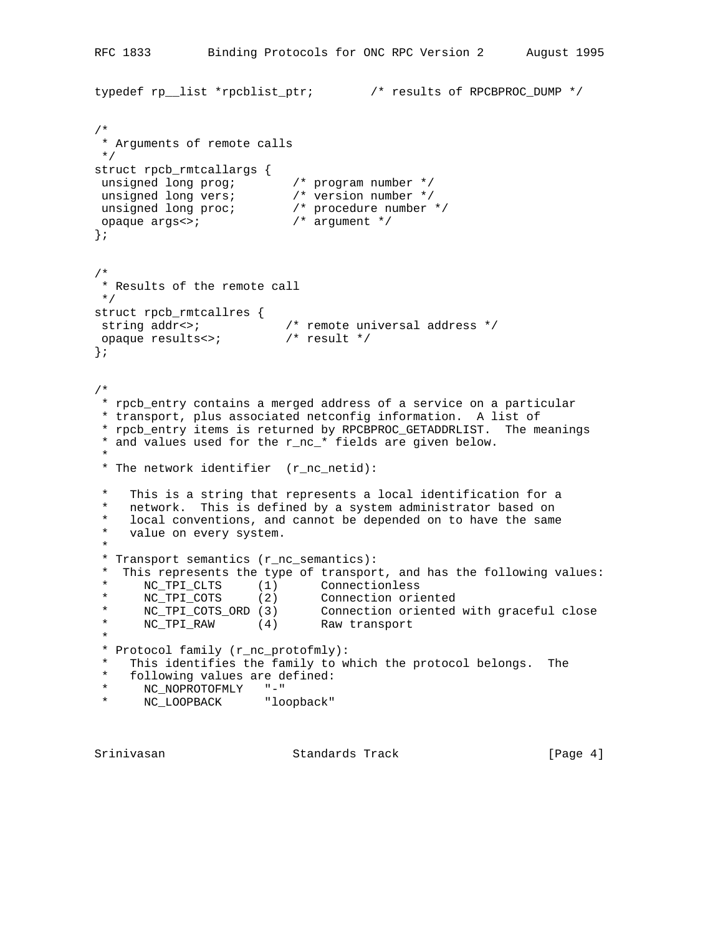```
RFC 1833 Binding Protocols for ONC RPC Version 2 August 1995
typedef rp__list *rpcblist_ptr; /* results of RPCBPROC_DUMP */
/*
 * Arguments of remote calls
 */
struct rpcb_rmtcallargs {
 unsigned long prog; /* program number */
 unsigned long vers; /* version number */
 unsigned long proc; /* procedure number */
 opaque args<>; /* argument */
};
/*
 * Results of the remote call
 */
struct rpcb_rmtcallres {
string addr<>; \overline{\phantom{a}} /* remote universal address */
 opaque results<>; /* result */
};
/*
 * rpcb_entry contains a merged address of a service on a particular
 * transport, plus associated netconfig information. A list of
 * rpcb_entry items is returned by RPCBPROC_GETADDRLIST. The meanings
 * and values used for the r_nc_* fields are given below.
 *
 * The network identifier (r_nc_netid):
 * This is a string that represents a local identification for a
   network. This is defined by a system administrator based on
  * local conventions, and cannot be depended on to have the same
   value on every system.
 *
  * Transport semantics (r_nc_semantics):
* This represents the type of transport, and has the following values:<br>* NC TBI CUTS (1) Connectionless
 * NC_TPI_CLTS (1) Connectionless
 * NC_TPI_COTS (2) Connection oriented
 * NC_TPI_COTS_ORD (3) Connection oriented with graceful close
 * NC_TPI_RAW (4) Raw transport
 *
 * Protocol family (r_nc_protofmly):
* This identifies the family to which the protocol belongs. The
 * following values are defined:<br>* NC NOPROTOFMIY "-"
 * NC_NOPROTOFMLY "-"
     NC_LOOPBACK "loopback"
```
Srinivasan Standards Track [Page 4]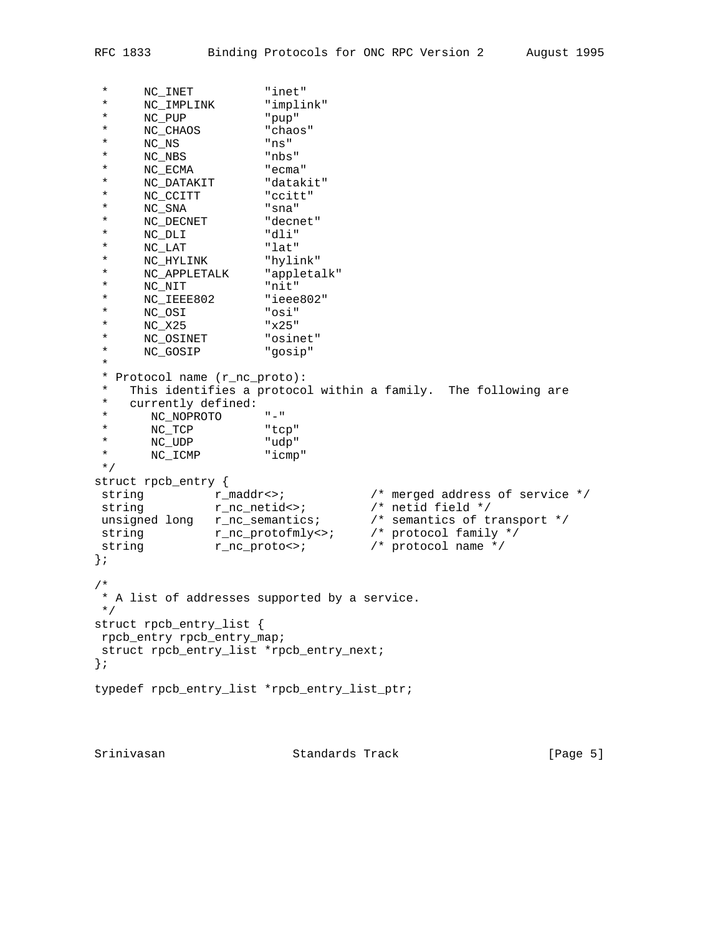```
 * NC_INET "inet"
 * NC_IMPLINK "implink"
 * NC_PUP "pup"
 * NC_CHAOS "chaos"
 * NC_NS "ns"
 * NC_NBS "nbs"
 * NC_ECMA "ecma"
 * NC_DATAKIT "datakit"
 * NC_CCITT "ccitt"
 * NC_SNA "sna"
 * NC_DECNET "decnet"
 * NC_DLI "dli"
 * NC_LAT "lat"
 * NC_HYLINK "hylink"
 * NC_APPLETALK "appletalk"
 * NC_NIT "nit"
 * NC_IEEE802 "ieee802"
 * NC_OSI "osi"
 * NC_X25 "x25"
 * NC_OSINET "osinet"
 * NC_GOSIP "gosip"
 *
 * Protocol name (r_nc_proto):
 * This identifies a protocol within a family. The following are
* currently defined:<br>* NC NOPROTO
 * NC_NOPROTO "-"
 * NC_TCP "tcp"
 * NC_UDP "udp"
 * NC_ICMP "icmp"
 */
struct rpcb_entry {
string r_{\text{mod}} r<sub>-</sub>maddr<>; \gamma merged address of service */
string r\_nc\_netids /* netid field */
 unsigned long r_nc_semantics; /* semantics of transport */
string r\_nc\_protofmly \Leftrightarrow /* protocol family */
string r_nc_proto<>; \qquad /* protocol name */
};
/*
 * A list of addresses supported by a service.
 */
struct rpcb_entry_list {
 rpcb_entry rpcb_entry_map;
 struct rpcb_entry_list *rpcb_entry_next;
};
typedef rpcb_entry_list *rpcb_entry_list_ptr;
```
Srinivasan Standards Track [Page 5]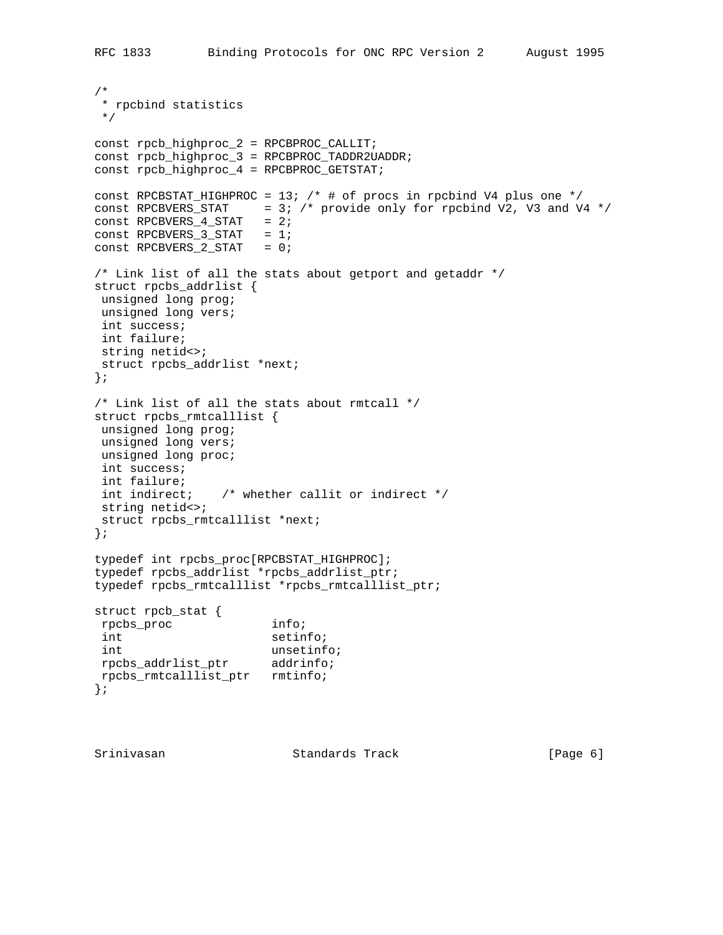```
/*
 * rpcbind statistics
 */
const rpcb_highproc_2 = RPCBPROC_CALLIT;
const rpcb_highproc_3 = RPCBPROC_TADDR2UADDR;
const rpcb_highproc_4 = RPCBPROC_GETSTAT;
const RPCBSTAT_HIGHPROC = 13; /* # of procs in rpcbind V4 plus one */const RPCBVERS_STAT = 3; /* provide only for rpcbind V2, V3 and V4 */
const RPCBVERS_4_STAT = 2;
const RPCBVERS_3_STAT = 1;
const RPCBVERS_2_STAT = 0;
/* Link list of all the stats about getport and getaddr */
struct rpcbs_addrlist {
 unsigned long prog;
 unsigned long vers;
 int success;
 int failure;
 string netid<>;
 struct rpcbs_addrlist *next;
};
/* Link list of all the stats about rmtcall */
struct rpcbs_rmtcalllist {
 unsigned long prog;
 unsigned long vers;
 unsigned long proc;
 int success;
 int failure;
 int indirect; /* whether callit or indirect */
 string netid<>;
 struct rpcbs_rmtcalllist *next;
};
typedef int rpcbs_proc[RPCBSTAT_HIGHPROC];
typedef rpcbs_addrlist *rpcbs_addrlist_ptr;
typedef rpcbs_rmtcalllist *rpcbs_rmtcalllist_ptr;
struct rpcb_stat {
 rpcbs_proc info;
int setinfo;
 int unsetinfo;
 rpcbs_addrlist_ptr addrinfo;
 rpcbs_rmtcalllist_ptr rmtinfo;
};
```
Srinivasan Standards Track [Page 6]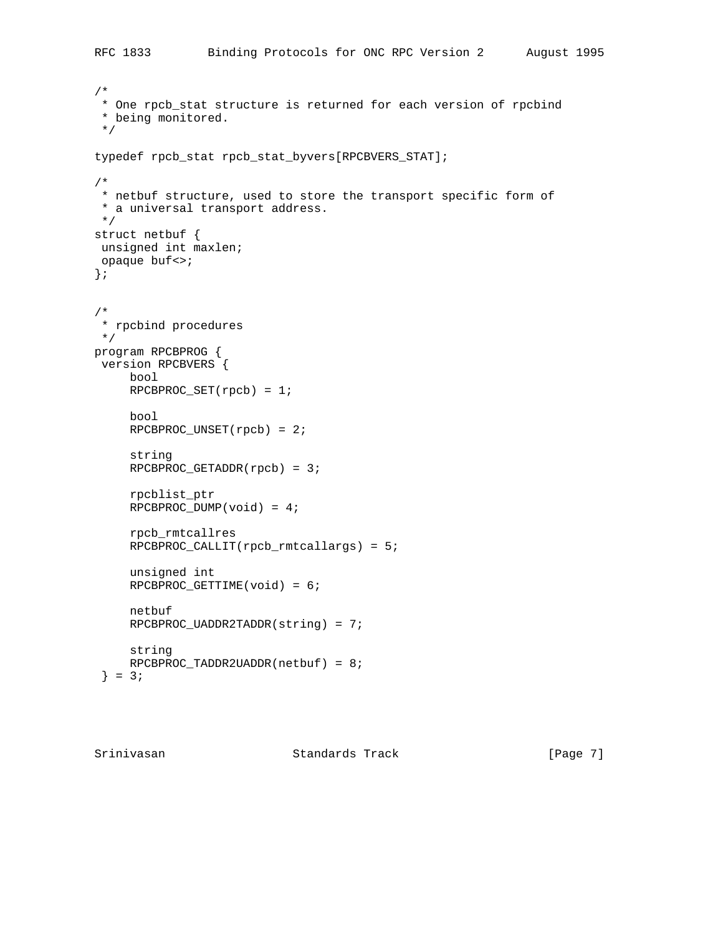```
/*
 * One rpcb_stat structure is returned for each version of rpcbind
  * being monitored.
  */
typedef rpcb_stat rpcb_stat_byvers[RPCBVERS_STAT];
/*
 * netbuf structure, used to store the transport specific form of
 * a universal transport address.
 */
struct netbuf {
 unsigned int maxlen;
 opaque buf<>;
};
/*
 * rpcbind procedures
 */
program RPCBPROG {
 version RPCBVERS {
     bool
    RPCBPROC_SET(rpcb) = 1; bool
    RPCBPROC_UNSET(rpcb) = 2; string
     RPCBPROC_GETADDR(rpcb) = 3;
     rpcblist_ptr
     RPCBPROC_DUMP(void) = 4;
      rpcb_rmtcallres
     RPCBPROC_CALLIT(rpcb_rmtcallargs) = 5;
      unsigned int
      RPCBPROC_GETTIME(void) = 6;
     netbuf
     RPCBPROC_UADDR2TADDR(string) = 7;
     string
    RPCBPROC_TADDR2UADDR(netbuf) = 8;} = 3;
```
Srinivasan Standards Track [Page 7]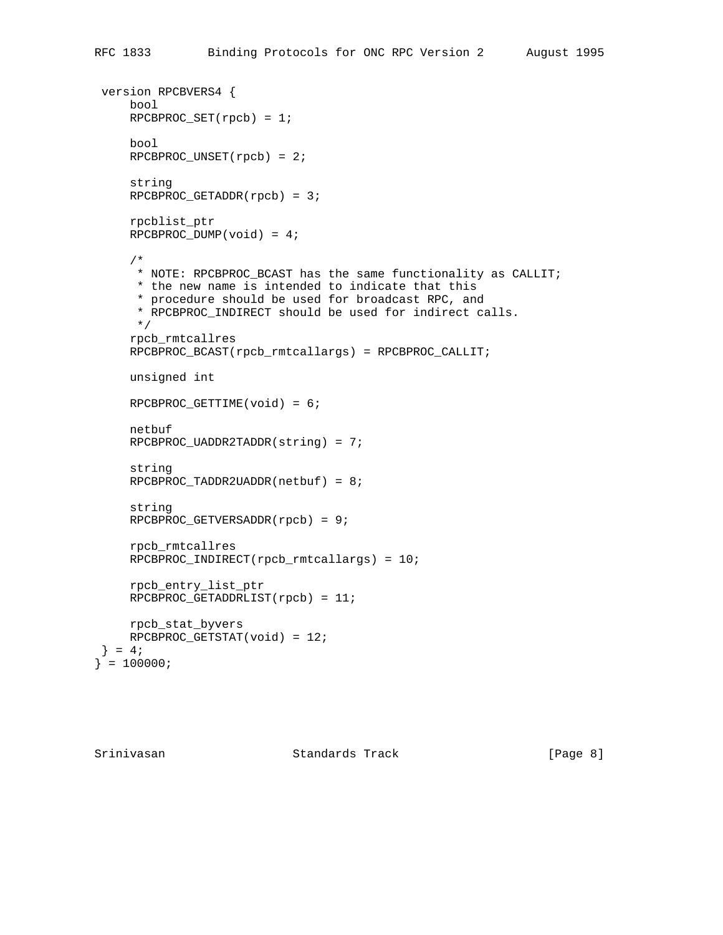```
 version RPCBVERS4 {
     bool
      RPCBPROC_SET(rpcb) = 1;
      bool
     RPCBPROC_UNSET(rpcb) = 2;
      string
     RPCBPROC_GETADDR(rpcb) = 3;
      rpcblist_ptr
      RPCBPROC_DUMP(void) = 4;
      /*
      * NOTE: RPCBPROC_BCAST has the same functionality as CALLIT;
      * the new name is intended to indicate that this
       * procedure should be used for broadcast RPC, and
       * RPCBPROC_INDIRECT should be used for indirect calls.
       */
      rpcb_rmtcallres
      RPCBPROC_BCAST(rpcb_rmtcallargs) = RPCBPROC_CALLIT;
     unsigned int
     RPCBPROC_GETTIME(void) = 6;
      netbuf
    RPCBPROC UADDR2TADDR(string) = 7;
      string
      RPCBPROC_TADDR2UADDR(netbuf) = 8;
      string
     RPCBPROC GETVERSADDR(rpcb) = 9;
      rpcb_rmtcallres
      RPCBPROC_INDIRECT(rpcb_rmtcallargs) = 10;
      rpcb_entry_list_ptr
     RPCBPROC_GETADDRLIST(rpcb) = 11;
     rpcb_stat_byvers
     RPCBPROC_GETSTAT(void) = 12;
 \} = 4;\} = 100000;
```
Srinivasan Standards Track [Page 8]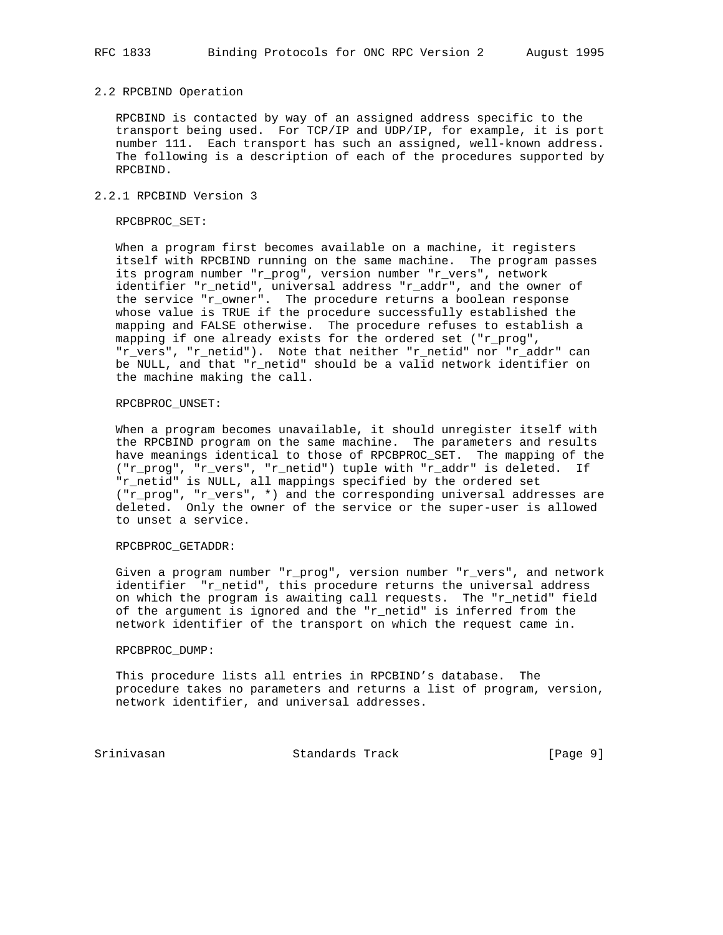### 2.2 RPCBIND Operation

 RPCBIND is contacted by way of an assigned address specific to the transport being used. For TCP/IP and UDP/IP, for example, it is port number 111. Each transport has such an assigned, well-known address. The following is a description of each of the procedures supported by RPCBIND.

### 2.2.1 RPCBIND Version 3

### RPCBPROC\_SET:

 When a program first becomes available on a machine, it registers itself with RPCBIND running on the same machine. The program passes its program number "r\_prog", version number "r\_vers", network identifier "r\_netid", universal address "r\_addr", and the owner of the service "r\_owner". The procedure returns a boolean response whose value is TRUE if the procedure successfully established the mapping and FALSE otherwise. The procedure refuses to establish a mapping if one already exists for the ordered set ("r\_prog", "r\_vers", "r\_netid"). Note that neither "r\_netid" nor "r\_addr" can be NULL, and that "r\_netid" should be a valid network identifier on the machine making the call.

## RPCBPROC\_UNSET:

 When a program becomes unavailable, it should unregister itself with the RPCBIND program on the same machine. The parameters and results have meanings identical to those of RPCBPROC\_SET. The mapping of the ("r\_prog", "r\_vers", "r\_netid") tuple with "r\_addr" is deleted. If "r\_netid" is NULL, all mappings specified by the ordered set ("r\_prog", "r\_vers", \*) and the corresponding universal addresses are deleted. Only the owner of the service or the super-user is allowed to unset a service.

### RPCBPROC\_GETADDR:

 Given a program number "r\_prog", version number "r\_vers", and network identifier "r\_netid", this procedure returns the universal address on which the program is awaiting call requests. The "r\_netid" field of the argument is ignored and the "r\_netid" is inferred from the network identifier of the transport on which the request came in.

#### RPCBPROC\_DUMP:

 This procedure lists all entries in RPCBIND's database. The procedure takes no parameters and returns a list of program, version, network identifier, and universal addresses.

Srinivasan Standards Track [Page 9]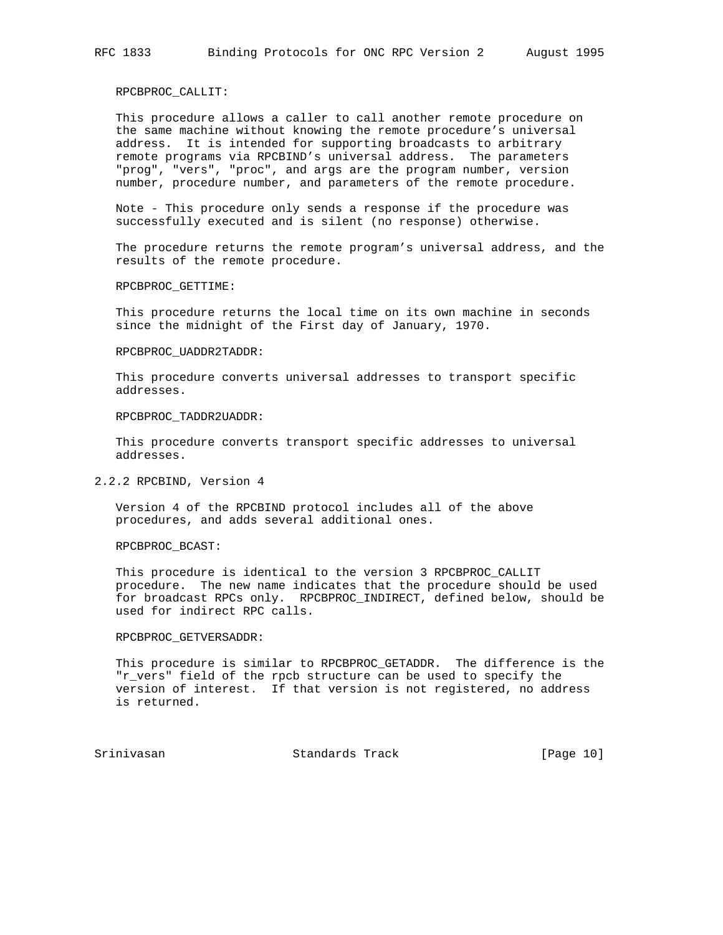### RPCBPROC\_CALLIT:

 This procedure allows a caller to call another remote procedure on the same machine without knowing the remote procedure's universal address. It is intended for supporting broadcasts to arbitrary remote programs via RPCBIND's universal address. The parameters "prog", "vers", "proc", and args are the program number, version number, procedure number, and parameters of the remote procedure.

 Note - This procedure only sends a response if the procedure was successfully executed and is silent (no response) otherwise.

 The procedure returns the remote program's universal address, and the results of the remote procedure.

RPCBPROC\_GETTIME:

 This procedure returns the local time on its own machine in seconds since the midnight of the First day of January, 1970.

#### RPCBPROC\_UADDR2TADDR:

 This procedure converts universal addresses to transport specific addresses.

# RPCBPROC\_TADDR2UADDR:

 This procedure converts transport specific addresses to universal addresses.

### 2.2.2 RPCBIND, Version 4

 Version 4 of the RPCBIND protocol includes all of the above procedures, and adds several additional ones.

RPCBPROC\_BCAST:

 This procedure is identical to the version 3 RPCBPROC\_CALLIT procedure. The new name indicates that the procedure should be used for broadcast RPCs only. RPCBPROC\_INDIRECT, defined below, should be used for indirect RPC calls.

### RPCBPROC\_GETVERSADDR:

 This procedure is similar to RPCBPROC\_GETADDR. The difference is the "r\_vers" field of the rpcb structure can be used to specify the version of interest. If that version is not registered, no address is returned.

Srinivasan Standards Track [Page 10]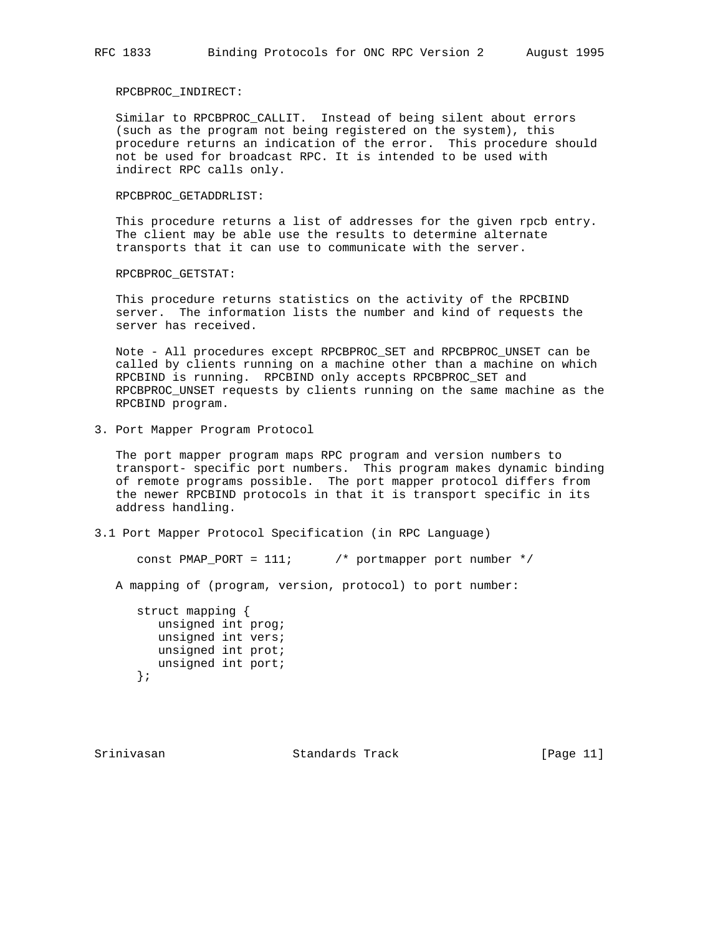# RPCBPROC\_INDIRECT:

 Similar to RPCBPROC\_CALLIT. Instead of being silent about errors (such as the program not being registered on the system), this procedure returns an indication of the error. This procedure should not be used for broadcast RPC. It is intended to be used with indirect RPC calls only.

### RPCBPROC\_GETADDRLIST:

 This procedure returns a list of addresses for the given rpcb entry. The client may be able use the results to determine alternate transports that it can use to communicate with the server.

RPCBPROC\_GETSTAT:

 This procedure returns statistics on the activity of the RPCBIND server. The information lists the number and kind of requests the server has received.

 Note - All procedures except RPCBPROC\_SET and RPCBPROC\_UNSET can be called by clients running on a machine other than a machine on which RPCBIND is running. RPCBIND only accepts RPCBPROC\_SET and RPCBPROC\_UNSET requests by clients running on the same machine as the RPCBIND program.

3. Port Mapper Program Protocol

 The port mapper program maps RPC program and version numbers to transport- specific port numbers. This program makes dynamic binding of remote programs possible. The port mapper protocol differs from the newer RPCBIND protocols in that it is transport specific in its address handling.

## 3.1 Port Mapper Protocol Specification (in RPC Language)

const PMAP\_PORT =  $111$ ;  $\frac{1}{2}$  portmapper port number \*/

A mapping of (program, version, protocol) to port number:

 struct mapping { unsigned int prog; unsigned int vers; unsigned int prot; unsigned int port; };

Srinivasan Standards Track [Page 11]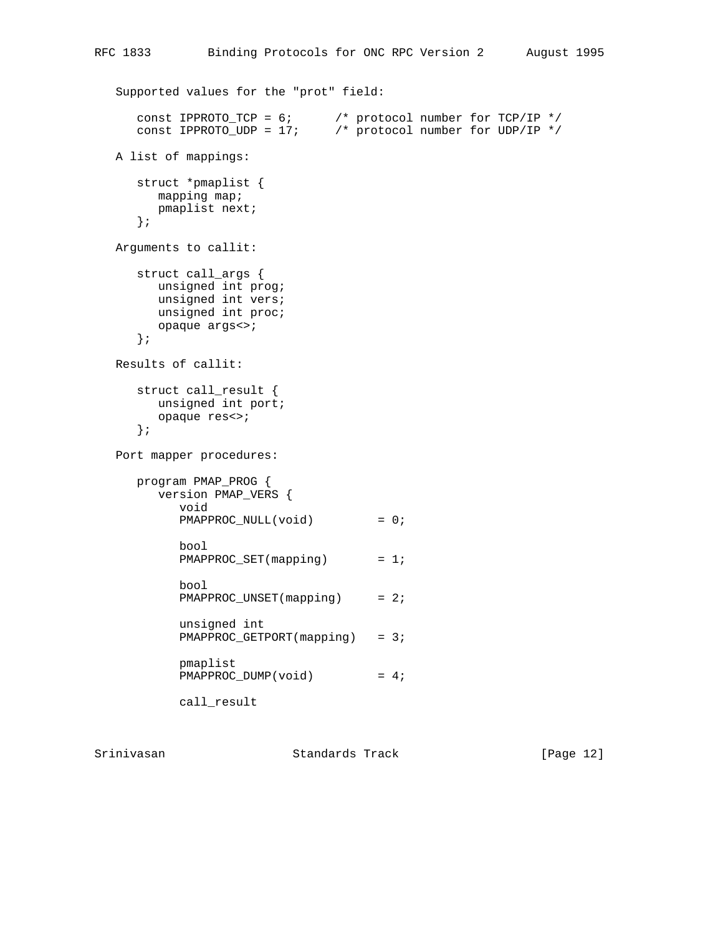```
 Supported values for the "prot" field:
 const IPPROTO_TCP = 6; /* protocol number for TCP/IP */
 const IPPROTO_UDP = 17; /* protocol number for UDP/IP */
   A list of mappings:
      struct *pmaplist {
        mapping map;
        pmaplist next;
      };
   Arguments to callit:
      struct call_args {
        unsigned int prog;
        unsigned int vers;
        unsigned int proc;
        opaque args<>;
      };
   Results of callit:
      struct call_result {
        unsigned int port;
         opaque res<>;
      };
   Port mapper procedures:
      program PMAP_PROG {
         version PMAP_VERS {
            void
            PMAPPROC_NULL(void) = 0;
            bool
           PMAPPROC_SET(mapping) = 1;
            bool
           PMAPPROC_UNSET(mapping) = 2;
            unsigned int
           PMAPPROC_GETPORT(mapping) = 3;
            pmaplist
           PMAPPROC_DUMP(void) = 4;
            call_result
```
Srinivasan Standards Track [Page 12]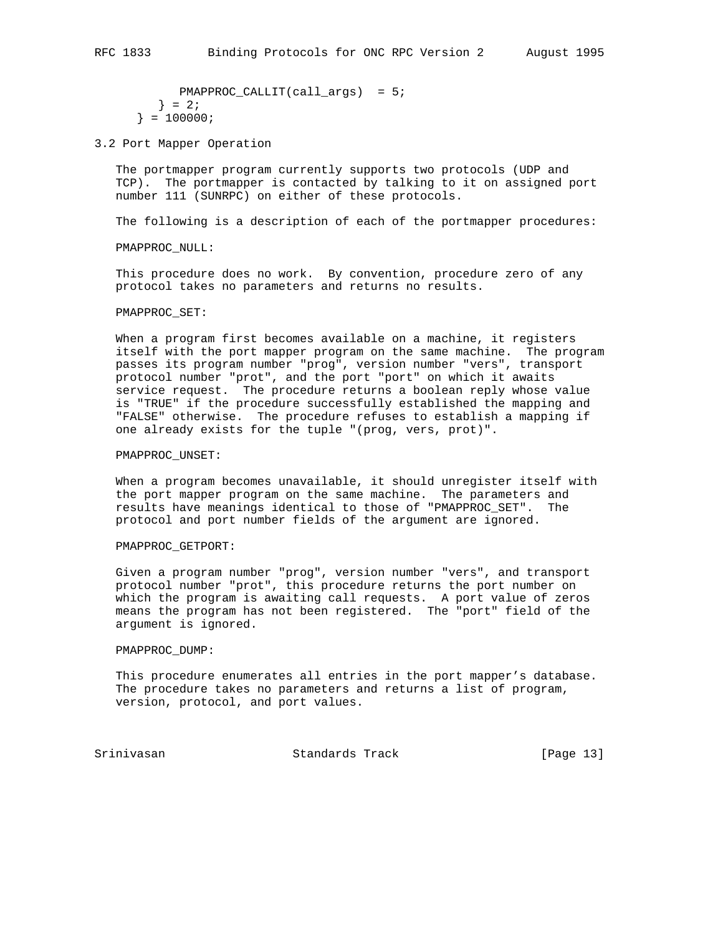PMAPPROC\_CALLIT(call\_args) = 5;  $\} = 2i$  $} = 100000$ ;

3.2 Port Mapper Operation

 The portmapper program currently supports two protocols (UDP and TCP). The portmapper is contacted by talking to it on assigned port number 111 (SUNRPC) on either of these protocols.

The following is a description of each of the portmapper procedures:

PMAPPROC\_NULL:

 This procedure does no work. By convention, procedure zero of any protocol takes no parameters and returns no results.

#### PMAPPROC\_SET:

 When a program first becomes available on a machine, it registers itself with the port mapper program on the same machine. The program passes its program number "prog", version number "vers", transport protocol number "prot", and the port "port" on which it awaits service request. The procedure returns a boolean reply whose value is "TRUE" if the procedure successfully established the mapping and "FALSE" otherwise. The procedure refuses to establish a mapping if one already exists for the tuple "(prog, vers, prot)".

### PMAPPROC\_UNSET:

 When a program becomes unavailable, it should unregister itself with the port mapper program on the same machine. The parameters and results have meanings identical to those of "PMAPPROC\_SET". The protocol and port number fields of the argument are ignored.

### PMAPPROC\_GETPORT:

 Given a program number "prog", version number "vers", and transport protocol number "prot", this procedure returns the port number on which the program is awaiting call requests. A port value of zeros means the program has not been registered. The "port" field of the argument is ignored.

#### PMAPPROC\_DUMP:

 This procedure enumerates all entries in the port mapper's database. The procedure takes no parameters and returns a list of program, version, protocol, and port values.

Srinivasan Standards Track [Page 13]